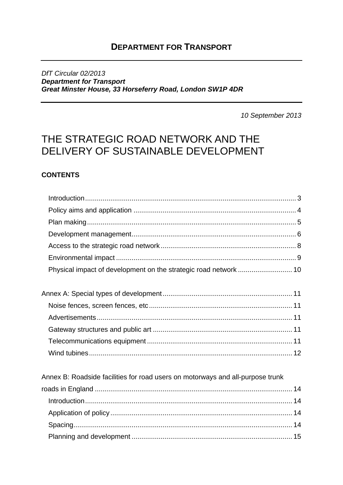# **DEPARTMENT FOR TRANSPORT**

#### DfT Circular 02/2013 **Department for Transport** Great Minster House, 33 Horseferry Road, London SW1P 4DR

10 September 2013

# THE STRATEGIC ROAD NETWORK AND THE DELIVERY OF SUSTAINABLE DEVELOPMENT

### **CONTENTS**

| Physical impact of development on the strategic road network  10               |  |
|--------------------------------------------------------------------------------|--|
|                                                                                |  |
|                                                                                |  |
|                                                                                |  |
|                                                                                |  |
|                                                                                |  |
|                                                                                |  |
| Annex B: Roadside facilities for road users on motorways and all-purpose trunk |  |
|                                                                                |  |
|                                                                                |  |
|                                                                                |  |
|                                                                                |  |
|                                                                                |  |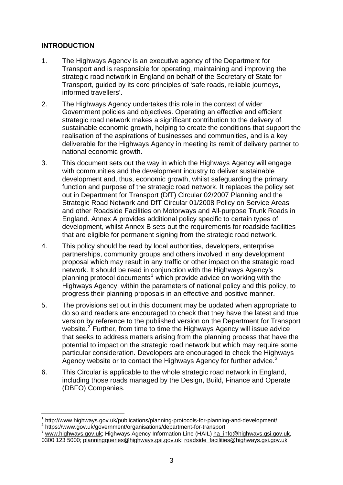## <span id="page-2-0"></span>**INTRODUCTION**

- 1. The Highways Agency is an executive agency of the Department for Transport and is responsible for operating, maintaining and improving the strategic road network in England on behalf of the Secretary of State for Transport, guided by its core principles of 'safe roads, reliable journeys, informed travellers'.
- 2. The Highways Agency undertakes this role in the context of wider Government policies and objectives. Operating an effective and efficient strategic road network makes a significant contribution to the delivery of sustainable economic growth, helping to create the conditions that support the realisation of the aspirations of businesses and communities, and is a key deliverable for the Highways Agency in meeting its remit of delivery partner to national economic growth.
- 3. This document sets out the way in which the Highways Agency will engage with communities and the development industry to deliver sustainable development and, thus, economic growth, whilst safeguarding the primary function and purpose of the strategic road network. It replaces the policy set out in Department for Transport (DfT) Circular 02/2007 Planning and the Strategic Road Network and DfT Circular 01/2008 Policy on Service Areas and other Roadside Facilities on Motorways and All-purpose Trunk Roads in England. Annex A provides additional policy specific to certain types of development, whilst Annex B sets out the requirements for roadside facilities that are eligible for permanent signing from the strategic road network.
- 4. This policy should be read by local authorities, developers, enterprise partnerships, community groups and others involved in any development proposal which may result in any traffic or other impact on the strategic road network. It should be read in conjunction with the Highways Agency's planning protocol documents<sup>[1](#page-2-1)</sup> which provide advice on working with the Highways Agency, within the parameters of national policy and this policy, to progress their planning proposals in an effective and positive manner.
- 5. The provisions set out in this document may be updated when appropriate to do so and readers are encouraged to check that they have the latest and true version by reference to the published version on the Department for Transport website.<sup>[2](#page-2-2)</sup> Further, from time to time the Highways Agency will issue advice that seeks to address matters arising from the planning process that have the potential to impact on the strategic road network but which may require some particular consideration. Developers are encouraged to check the Highways Agency website or to contact the Highways Agency for further advice.<sup>[3](#page-2-3)</sup>
- 6. This Circular is applicable to the whole strategic road network in England, including those roads managed by the Design, Build, Finance and Operate (DBFO) Companies.

1

<span id="page-2-3"></span>3 [www.highways.gov.uk;](http://www.highways.gov.uk/) Highways Agency Information Line (HAIL) [ha\\_info@highways.gsi.gov.uk](mailto:ha_info@highways.gsi.gov.uk), 0300 123 5000; [planningqueries@highways.gsi.gov.uk;](mailto:planningqueries@highways.gsi.gov.uk) [roadside\\_facilities@highways.gsi.gov.uk](mailto:roadside_facilities@highways.gsi.gov.uk)

<span id="page-2-1"></span><sup>1</sup>  $\frac{1}{2}$  http://www.highways.gov.uk/publications/planning-protocols-for-planning-and-development/<br> $\frac{2}{2}$  https://www.gov.uk/government/organisations/department-for-transport

<span id="page-2-2"></span>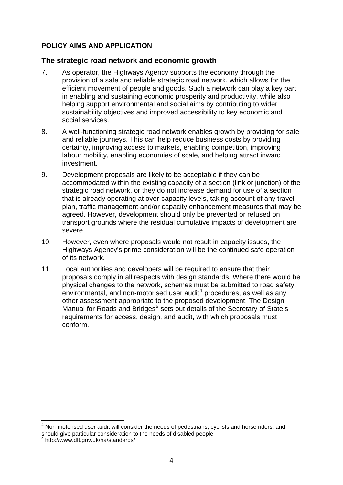# <span id="page-3-0"></span>**POLICY AIMS AND APPLICATION**

## **The strategic road network and economic growth**

- 7. As operator, the Highways Agency supports the economy through the provision of a safe and reliable strategic road network, which allows for the efficient movement of people and goods. Such a network can play a key part in enabling and sustaining economic prosperity and productivity, while also helping support environmental and social aims by contributing to wider sustainability objectives and improved accessibility to key economic and social services.
- 8. A well-functioning strategic road network enables growth by providing for safe and reliable journeys. This can help reduce business costs by providing certainty, improving access to markets, enabling competition, improving labour mobility, enabling economies of scale, and helping attract inward investment.
- 9. Development proposals are likely to be acceptable if they can be accommodated within the existing capacity of a section (link or junction) of the strategic road network, or they do not increase demand for use of a section that is already operating at over-capacity levels, taking account of any travel plan, traffic management and/or capacity enhancement measures that may be agreed. However, development should only be prevented or refused on transport grounds where the residual cumulative impacts of development are severe.
- 10. However, even where proposals would not result in capacity issues, the Highways Agency's prime consideration will be the continued safe operation of its network.
- 11. Local authorities and developers will be required to ensure that their proposals comply in all respects with design standards. Where there would be physical changes to the network, schemes must be submitted to road safety,  $\overline{\phantom{a}}$  environmental, and non-motorised user audit<sup>[4](#page-3-1)</sup> procedures, as well as any other assessment appropriate to the proposed development. The Design Manual for Roads and Bridges<sup>[5](#page-3-2)</sup> sets out details of the Secretary of State's requirements for access, design, and audit, with which proposals must conform.

<span id="page-3-1"></span><sup>1</sup> <sup>4</sup> Non-motorised user audit will consider the needs of pedestrians, cyclists and horse riders, and should give particular consideration to the needs of disabled people.

<span id="page-3-2"></span><sup>5</sup> <http://www.dft.gov.uk/ha/standards/>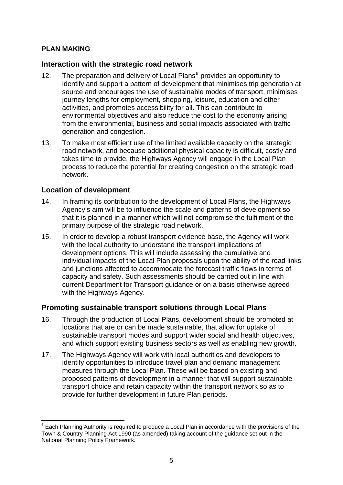# <span id="page-4-0"></span>**PLAN MAKING**

### **Interaction with the strategic road network**

- 12. The preparation and delivery of Local Plans<sup>[6](#page-4-1)</sup> provides an opportunity to identify and support a pattern of development that minimises trip generation at source and encourages the use of sustainable modes of transport, minimises journey lengths for employment, shopping, leisure, education and other activities, and promotes accessibility for all. This can contribute to environmental objectives and also reduce the cost to the economy arising from the environmental, business and social impacts associated with traffic generation and congestion.
- 13. To make most efficient use of the limited available capacity on the strategic road network, and because additional physical capacity is difficult, costly and takes time to provide, the Highways Agency will engage in the Local Plan process to reduce the potential for creating congestion on the strategic road network.

# **Location of development**

- 14. In framing its contribution to the development of Local Plans, the Highways Agency's aim will be to influence the scale and patterns of development so that it is planned in a manner which will not compromise the fulfilment of the primary purpose of the strategic road network.
- 15. In order to develop a robust transport evidence base, the Agency will work with the local authority to understand the transport implications of development options. This will include assessing the cumulative and individual impacts of the Local Plan proposals upon the ability of the road links and junctions affected to accommodate the forecast traffic flows in terms of capacity and safety. Such assessments should be carried out in line with current Department for Transport guidance or on a basis otherwise agreed with the Highways Agency.

# **Promoting sustainable transport solutions through Local Plans**

- 16. Through the production of Local Plans, development should be promoted at locations that are or can be made sustainable, that allow for uptake of sustainable transport modes and support wider social and health objectives, and which support existing business sectors as well as enabling new growth.
- 17. The Highways Agency will work with local authorities and developers to identify opportunities to introduce travel plan and demand management measures through the Local Plan. These will be based on existing and proposed patterns of development in a manner that will support sustainable transport choice and retain capacity within the transport network so as to provide for further development in future Plan periods.

<span id="page-4-1"></span><sup>1</sup>  $6$  Each Planning Authority is required to produce a Local Plan in accordance with the provisions of the Town & Country Planning Act 1990 (as amended) taking account of the guidance set out in the National Planning Policy Framework.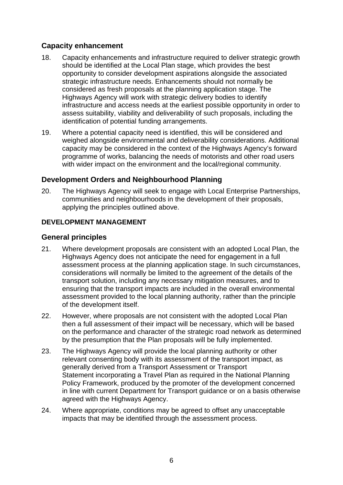# **Capacity enhancement**

- 18. Capacity enhancements and infrastructure required to deliver strategic growth should be identified at the Local Plan stage, which provides the best opportunity to consider development aspirations alongside the associated strategic infrastructure needs. Enhancements should not normally be considered as fresh proposals at the planning application stage. The Highways Agency will work with strategic delivery bodies to identify infrastructure and access needs at the earliest possible opportunity in order to assess suitability, viability and deliverability of such proposals, including the identification of potential funding arrangements.
- 19. Where a potential capacity need is identified, this will be considered and weighed alongside environmental and deliverability considerations. Additional capacity may be considered in the context of the Highways Agency's forward programme of works, balancing the needs of motorists and other road users with wider impact on the environment and the local/regional community.

# **Development Orders and Neighbourhood Planning**

20. The Highways Agency will seek to engage with Local Enterprise Partnerships, communities and neighbourhoods in the development of their proposals, applying the principles outlined above.

# <span id="page-5-0"></span>**DEVELOPMENT MANAGEMENT**

# **General principles**

- 21. Where development proposals are consistent with an adopted Local Plan, the Highways Agency does not anticipate the need for engagement in a full assessment process at the planning application stage. In such circumstances, considerations will normally be limited to the agreement of the details of the transport solution, including any necessary mitigation measures, and to ensuring that the transport impacts are included in the overall environmental assessment provided to the local planning authority, rather than the principle of the development itself.
- 22. However, where proposals are not consistent with the adopted Local Plan then a full assessment of their impact will be necessary, which will be based on the performance and character of the strategic road network as determined by the presumption that the Plan proposals will be fully implemented.
- 23. The Highways Agency will provide the local planning authority or other relevant consenting body with its assessment of the transport impact, as generally derived from a Transport Assessment or Transport Statement incorporating a Travel Plan as required in the National Planning Policy Framework, produced by the promoter of the development concerned in line with current Department for Transport guidance or on a basis otherwise agreed with the Highways Agency.
- 24. Where appropriate, conditions may be agreed to offset any unacceptable impacts that may be identified through the assessment process.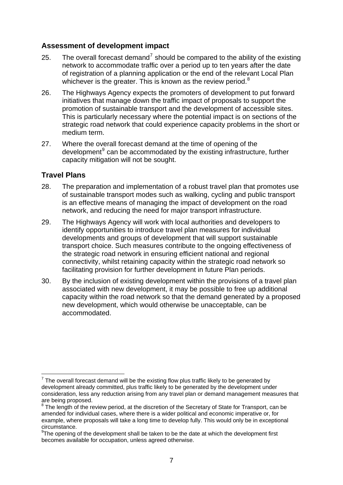# **Assessment of development impact**

- 25. The overall forecast demand<sup>[7](#page-6-0)</sup> should be compared to the ability of the existing network to accommodate traffic over a period up to ten years after the date of registration of a planning application or the end of the relevant Local Plan whichever is the greater. This is known as the review period. $8$
- 26. The Highways Agency expects the promoters of development to put forward initiatives that manage down the traffic impact of proposals to support the promotion of sustainable transport and the development of accessible sites. This is particularly necessary where the potential impact is on sections of the strategic road network that could experience capacity problems in the short or medium term.
- 27. Where the overall forecast demand at the time of opening of the development<sup>[9](#page-6-2)</sup> can be accommodated by the existing infrastructure, further capacity mitigation will not be sought.

### **Travel Plans**

- 28. The preparation and implementation of a robust travel plan that promotes use of sustainable transport modes such as walking, cycling and public transport is an effective means of managing the impact of development on the road network, and reducing the need for major transport infrastructure.
- 29. The Highways Agency will work with local authorities and developers to identify opportunities to introduce travel plan measures for individual developments and groups of development that will support sustainable transport choice. Such measures contribute to the ongoing effectiveness of the strategic road network in ensuring efficient national and regional connectivity, whilst retaining capacity within the strategic road network so facilitating provision for further development in future Plan periods.
- 30. By the inclusion of existing development within the provisions of a travel plan associated with new development, it may be possible to free up additional capacity within the road network so that the demand generated by a proposed new development, which would otherwise be unacceptable, can be accommodated.

<span id="page-6-0"></span><sup>1</sup>  $7$  The overall forecast demand will be the existing flow plus traffic likely to be generated by development already committed, plus traffic likely to be generated by the development under consideration, less any reduction arising from any travel plan or demand management measures that are being proposed.

<span id="page-6-1"></span><sup>&</sup>lt;sup>8</sup> The length of the review period, at the discretion of the Secretary of State for Transport, can be amended for individual cases, where there is a wider political and economic imperative or, for example, where proposals will take a long time to develop fully. This would only be in exceptional circumstance.

<span id="page-6-2"></span> $9$ The opening of the development shall be taken to be the date at which the development first becomes available for occupation, unless agreed otherwise.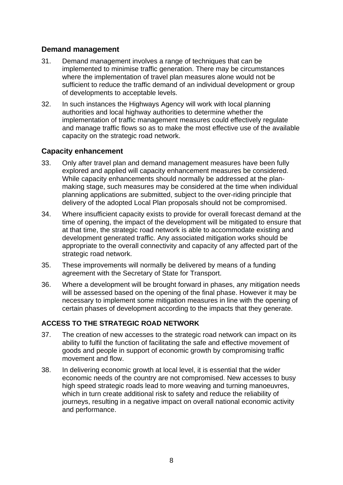# **Demand management**

- 31. Demand management involves a range of techniques that can be implemented to minimise traffic generation. There may be circumstances where the implementation of travel plan measures alone would not be sufficient to reduce the traffic demand of an individual development or group of developments to acceptable levels.
- 32. In such instances the Highways Agency will work with local planning authorities and local highway authorities to determine whether the implementation of traffic management measures could effectively regulate and manage traffic flows so as to make the most effective use of the available capacity on the strategic road network.

# **Capacity enhancement**

- 33. Only after travel plan and demand management measures have been fully explored and applied will capacity enhancement measures be considered. While capacity enhancements should normally be addressed at the planmaking stage, such measures may be considered at the time when individual planning applications are submitted, subject to the over-riding principle that delivery of the adopted Local Plan proposals should not be compromised.
- 34. Where insufficient capacity exists to provide for overall forecast demand at the time of opening, the impact of the development will be mitigated to ensure that at that time, the strategic road network is able to accommodate existing and development generated traffic. Any associated mitigation works should be appropriate to the overall connectivity and capacity of any affected part of the strategic road network.
- 35. These improvements will normally be delivered by means of a funding agreement with the Secretary of State for Transport.
- 36. Where a development will be brought forward in phases, any mitigation needs will be assessed based on the opening of the final phase. However it may be necessary to implement some mitigation measures in line with the opening of certain phases of development according to the impacts that they generate.

# <span id="page-7-0"></span>**ACCESS TO THE STRATEGIC ROAD NETWORK**

- 37. The creation of new accesses to the strategic road network can impact on its ability to fulfil the function of facilitating the safe and effective movement of goods and people in support of economic growth by compromising traffic movement and flow.
- 38. In delivering economic growth at local level, it is essential that the wider economic needs of the country are not compromised. New accesses to busy high speed strategic roads lead to more weaving and turning manoeuvres, which in turn create additional risk to safety and reduce the reliability of journeys, resulting in a negative impact on overall national economic activity and performance.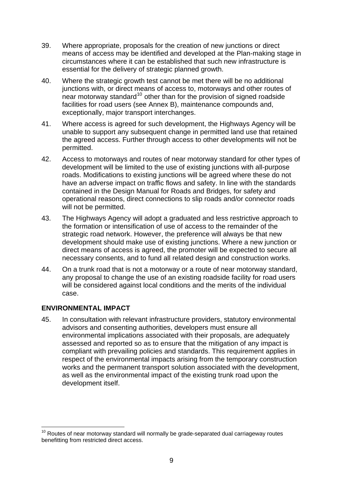- 39. Where appropriate, proposals for the creation of new junctions or direct means of access may be identified and developed at the Plan-making stage in circumstances where it can be established that such new infrastructure is essential for the delivery of strategic planned growth.
- 40. Where the strategic growth test cannot be met there will be no additional junctions with, or direct means of access to, motorways and other routes of near motorway standard<sup>[10](#page-8-1)</sup> other than for the provision of signed roadside facilities for road users (see Annex B), maintenance compounds and, exceptionally, major transport interchanges.
- 41. Where access is agreed for such development, the Highways Agency will be unable to support any subsequent change in permitted land use that retained the agreed access. Further through access to other developments will not be permitted.
- 42. Access to motorways and routes of near motorway standard for other types of development will be limited to the use of existing junctions with all-purpose roads. Modifications to existing junctions will be agreed where these do not have an adverse impact on traffic flows and safety. In line with the standards contained in the Design Manual for Roads and Bridges, for safety and operational reasons, direct connections to slip roads and/or connector roads will not be permitted.
- 43. The Highways Agency will adopt a graduated and less restrictive approach to the formation or intensification of use of access to the remainder of the strategic road network. However, the preference will always be that new development should make use of existing junctions. Where a new junction or direct means of access is agreed, the promoter will be expected to secure all necessary consents, and to fund all related design and construction works.
- 44. On a trunk road that is not a motorway or a route of near motorway standard, any proposal to change the use of an existing roadside facility for road users will be considered against local conditions and the merits of the individual case.

### <span id="page-8-0"></span>**ENVIRONMENTAL IMPACT**

45. In consultation with relevant infrastructure providers, statutory environmental advisors and consenting authorities, developers must ensure all environmental implications associated with their proposals, are adequately assessed and reported so as to ensure that the mitigation of any impact is compliant with prevailing policies and standards. This requirement applies in respect of the environmental impacts arising from the temporary construction works and the permanent transport solution associated with the development, as well as the environmental impact of the existing trunk road upon the development itself.

<span id="page-8-1"></span><sup>&</sup>lt;u>.</u>  $10$  Routes of near motorway standard will normally be grade-separated dual carriageway routes benefitting from restricted direct access.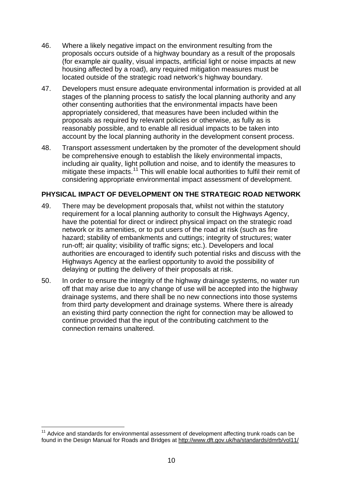- 46. Where a likely negative impact on the environment resulting from the proposals occurs outside of a highway boundary as a result of the proposals (for example air quality, visual impacts, artificial light or noise impacts at new housing affected by a road), any required mitigation measures must be located outside of the strategic road network's highway boundary.
- 47. Developers must ensure adequate environmental information is provided at all stages of the planning process to satisfy the local planning authority and any other consenting authorities that the environmental impacts have been appropriately considered, that measures have been included within the proposals as required by relevant policies or otherwise, as fully as is reasonably possible, and to enable all residual impacts to be taken into account by the local planning authority in the development consent process.
- 48. Transport assessment undertaken by the promoter of the development should be comprehensive enough to establish the likely environmental impacts, including air quality, light pollution and noise, and to identify the measures to mitigate these impacts.<sup>[11](#page-9-1)</sup> This will enable local authorities to fulfil their remit of considering appropriate environmental impact assessment of development.

#### <span id="page-9-0"></span>**PHYSICAL IMPACT OF DEVELOPMENT ON THE STRATEGIC ROAD NETWORK**

- 49. There may be development proposals that, whilst not within the statutory requirement for a local planning authority to consult the Highways Agency, have the potential for direct or indirect physical impact on the strategic road network or its amenities, or to put users of the road at risk (such as fire hazard; stability of embankments and cuttings; integrity of structures; water run-off; air quality; visibility of traffic signs; etc.). Developers and local authorities are encouraged to identify such potential risks and discuss with the Highways Agency at the earliest opportunity to avoid the possibility of delaying or putting the delivery of their proposals at risk.
- 50. In order to ensure the integrity of the highway drainage systems, no water run off that may arise due to any change of use will be accepted into the highway drainage systems, and there shall be no new connections into those systems from third party development and drainage systems. Where there is already an existing third party connection the right for connection may be allowed to continue provided that the input of the contributing catchment to the connection remains unaltered.

<span id="page-9-1"></span><sup>&</sup>lt;u>.</u> <sup>11</sup> Advice and standards for environmental assessment of development affecting trunk roads can be found in the Design Manual for Roads and Bridges at <http://www.dft.gov.uk/ha/standards/dmrb/vol11/>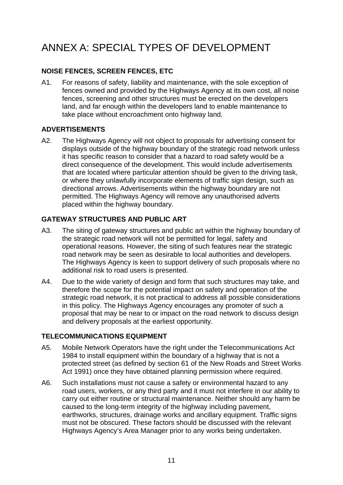# <span id="page-10-0"></span>ANNEX A: SPECIAL TYPES OF DEVELOPMENT

# <span id="page-10-1"></span>**NOISE FENCES, SCREEN FENCES, ETC**

A1. For reasons of safety, liability and maintenance, with the sole exception of fences owned and provided by the Highways Agency at its own cost, all noise fences, screening and other structures must be erected on the developers land, and far enough within the developers land to enable maintenance to take place without encroachment onto highway land.

#### <span id="page-10-2"></span>**ADVERTISEMENTS**

A2. The Highways Agency will not object to proposals for advertising consent for displays outside of the highway boundary of the strategic road network unless it has specific reason to consider that a hazard to road safety would be a direct consequence of the development. This would include advertisements that are located where particular attention should be given to the driving task, or where they unlawfully incorporate elements of traffic sign design, such as directional arrows. Advertisements within the highway boundary are not permitted. The Highways Agency will remove any unauthorised adverts placed within the highway boundary.

### <span id="page-10-3"></span>**GATEWAY STRUCTURES AND PUBLIC ART**

- A3. The siting of gateway structures and public art within the highway boundary of the strategic road network will not be permitted for legal, safety and operational reasons. However, the siting of such features near the strategic road network may be seen as desirable to local authorities and developers. The Highways Agency is keen to support delivery of such proposals where no additional risk to road users is presented.
- A4. Due to the wide variety of design and form that such structures may take, and therefore the scope for the potential impact on safety and operation of the strategic road network, it is not practical to address all possible considerations in this policy. The Highways Agency encourages any promoter of such a proposal that may be near to or impact on the road network to discuss design and delivery proposals at the earliest opportunity.

#### <span id="page-10-4"></span>**TELECOMMUNICATIONS EQUIPMENT**

- A5. Mobile Network Operators have the right under the Telecommunications Act 1984 to install equipment within the boundary of a highway that is not a protected street (as defined by section 61 of the New Roads and Street Works Act 1991) once they have obtained planning permission where required.
- A6. Such installations must not cause a safety or environmental hazard to any road users, workers, or any third party and it must not interfere in our ability to carry out either routine or structural maintenance. Neither should any harm be caused to the long-term integrity of the highway including pavement, earthworks, structures, drainage works and ancillary equipment. Traffic signs must not be obscured. These factors should be discussed with the relevant Highways Agency's Area Manager prior to any works being undertaken.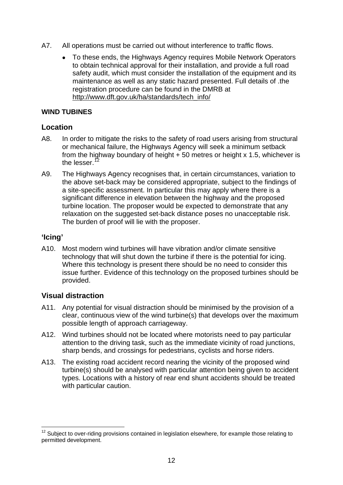- A7. All operations must be carried out without interference to traffic flows.
	- To these ends, the Highways Agency requires Mobile Network Operators to obtain technical approval for their installation, and provide a full road safety audit, which must consider the installation of the equipment and its maintenance as well as any static hazard presented. Full details of .the registration procedure can be found in the DMRB at [http://www.dft.gov.uk/ha/standards/tech\\_info/](http://www.dft.gov.uk/ha/standards/tech_info/)

#### <span id="page-11-0"></span>**WIND TUBINES**

# **Location**

- A8. In order to mitigate the risks to the safety of road users arising from structural or mechanical failure, the Highways Agency will seek a minimum setback from the highway boundary of height  $+50$  metres or height x 1.5, whichever is the lesser.<sup>[12](#page-11-1)</sup>
- A9. The Highways Agency recognises that, in certain circumstances, variation to the above set-back may be considered appropriate, subject to the findings of a site-specific assessment. In particular this may apply where there is a significant difference in elevation between the highway and the proposed turbine location. The proposer would be expected to demonstrate that any relaxation on the suggested set-back distance poses no unacceptable risk. The burden of proof will lie with the proposer.

### **'Icing'**

A10. Most modern wind turbines will have vibration and/or climate sensitive technology that will shut down the turbine if there is the potential for icing. Where this technology is present there should be no need to consider this issue further. Evidence of this technology on the proposed turbines should be provided.

# **Visual distraction**

- A11. Any potential for visual distraction should be minimised by the provision of a clear, continuous view of the wind turbine(s) that develops over the maximum possible length of approach carriageway.
- A12. Wind turbines should not be located where motorists need to pay particular attention to the driving task, such as the immediate vicinity of road junctions, sharp bends, and crossings for pedestrians, cyclists and horse riders.
- A13. The existing road accident record nearing the vicinity of the proposed wind turbine(s) should be analysed with particular attention being given to accident types. Locations with a history of rear end shunt accidents should be treated with particular caution.

<span id="page-11-1"></span><sup>&</sup>lt;u>.</u>  $12$  Subiect to over-riding provisions contained in legislation elsewhere, for example those relating to permitted development.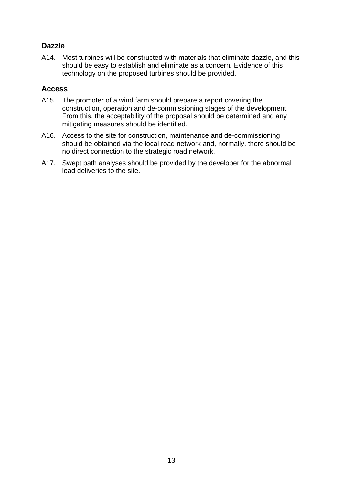# **Dazzle**

A14. Most turbines will be constructed with materials that eliminate dazzle, and this should be easy to establish and eliminate as a concern. Evidence of this technology on the proposed turbines should be provided.

#### **Access**

- A15. The promoter of a wind farm should prepare a report covering the construction, operation and de-commissioning stages of the development. From this, the acceptability of the proposal should be determined and any mitigating measures should be identified.
- A16. Access to the site for construction, maintenance and de-commissioning should be obtained via the local road network and, normally, there should be no direct connection to the strategic road network.
- A17. Swept path analyses should be provided by the developer for the abnormal load deliveries to the site.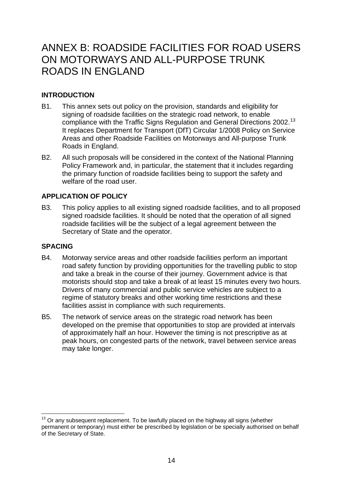# <span id="page-13-0"></span>ANNEX B: ROADSIDE FACILITIES FOR ROAD USERS ON MOTORWAYS AND ALL-PURPOSE TRUNK ROADS IN ENGLAND

# <span id="page-13-1"></span>**INTRODUCTION**

- B1. This annex sets out policy on the provision, standards and eligibility for signing of roadside facilities on the strategic road network, to enable compliance with the Traffic Signs Regulation and General Directions 2002.<sup>[13](#page-13-4)</sup> It replaces Department for Transport (DfT) Circular 1/2008 Policy on Service Areas and other Roadside Facilities on Motorways and All-purpose Trunk Roads in England.
- B2. All such proposals will be considered in the context of the National Planning Policy Framework and, in particular, the statement that it includes regarding the primary function of roadside facilities being to support the safety and welfare of the road user.

### <span id="page-13-2"></span>**APPLICATION OF POLICY**

B3. This policy applies to all existing signed roadside facilities, and to all proposed signed roadside facilities. It should be noted that the operation of all signed roadside facilities will be the subject of a legal agreement between the Secretary of State and the operator.

### <span id="page-13-3"></span>**SPACING**

- B4. Motorway service areas and other roadside facilities perform an important road safety function by providing opportunities for the travelling public to stop and take a break in the course of their journey. Government advice is that motorists should stop and take a break of at least 15 minutes every two hours. Drivers of many commercial and public service vehicles are subject to a regime of statutory breaks and other working time restrictions and these facilities assist in compliance with such requirements.
- B5. The network of service areas on the strategic road network has been developed on the premise that opportunities to stop are provided at intervals of approximately half an hour. However the timing is not prescriptive as at peak hours, on congested parts of the network, travel between service areas may take longer.

<span id="page-13-4"></span><sup>1</sup>  $13$  Or any subsequent replacement. To be lawfully placed on the highway all signs (whether permanent or temporary) must either be prescribed by legislation or be specially authorised on behalf of the Secretary of State.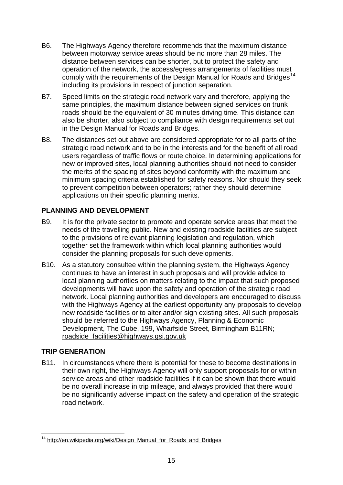- B6. The Highways Agency therefore recommends that the maximum distance between motorway service areas should be no more than 28 miles. The distance between services can be shorter, but to protect the safety and operation of the network, the access/egress arrangements of facilities must comply with the requirements of the Design Manual for Roads and Bridges<sup>[14](#page-14-2)</sup> including its provisions in respect of junction separation.
- B7. Speed limits on the strategic road network vary and therefore, applying the same principles, the maximum distance between signed services on trunk roads should be the equivalent of 30 minutes driving time. This distance can also be shorter, also subject to compliance with design requirements set out in the Design Manual for Roads and Bridges.
- B8. The distances set out above are considered appropriate for to all parts of the strategic road network and to be in the interests and for the benefit of all road users regardless of traffic flows or route choice. In determining applications for new or improved sites, local planning authorities should not need to consider the merits of the spacing of sites beyond conformity with the maximum and minimum spacing criteria established for safety reasons. Nor should they seek to prevent competition between operators; rather they should determine applications on their specific planning merits.

# <span id="page-14-0"></span>**PLANNING AND DEVELOPMENT**

- B9. It is for the private sector to promote and operate service areas that meet the needs of the travelling public. New and existing roadside facilities are subject to the provisions of relevant planning legislation and regulation, which together set the framework within which local planning authorities would consider the planning proposals for such developments.
- B10. As a statutory consultee within the planning system, the Highways Agency continues to have an interest in such proposals and will provide advice to local planning authorities on matters relating to the impact that such proposed developments will have upon the safety and operation of the strategic road network. Local planning authorities and developers are encouraged to discuss with the Highways Agency at the earliest opportunity any proposals to develop new roadside facilities or to alter and/or sign existing sites. All such proposals should be referred to the Highways Agency, Planning & Economic Development, The Cube, 199, Wharfside Street, Birmingham B11RN; [roadside\\_facilities@highways.gsi.gov.uk](mailto:roadside_facilities@highways.gsi.gov.uk)

### <span id="page-14-1"></span>**TRIP GENERATION**

B11. In circumstances where there is potential for these to become destinations in their own right, the Highways Agency will only support proposals for or within service areas and other roadside facilities if it can be shown that there would be no overall increase in trip mileage, and always provided that there would be no significantly adverse impact on the safety and operation of the strategic road network.

<span id="page-14-2"></span><sup>1</sup> <sup>14</sup> [http://en.wikipedia.org/wiki/Design\\_Manual\\_for\\_Roads\\_and\\_Bridges](http://en.wikipedia.org/wiki/Design_Manual_for_Roads_and_Bridges)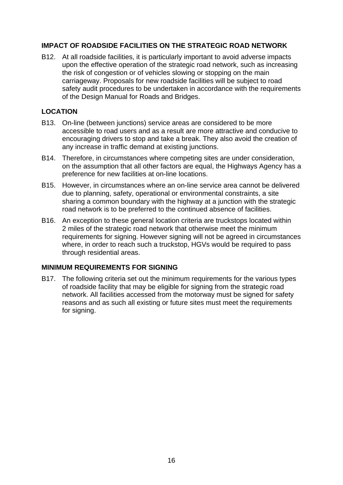#### <span id="page-15-0"></span>**IMPACT OF ROADSIDE FACILITIES ON THE STRATEGIC ROAD NETWORK**

B12. At all roadside facilities, it is particularly important to avoid adverse impacts upon the effective operation of the strategic road network, such as increasing the risk of congestion or of vehicles slowing or stopping on the main carriageway. Proposals for new roadside facilities will be subject to road safety audit procedures to be undertaken in accordance with the requirements of the Design Manual for Roads and Bridges.

#### <span id="page-15-1"></span>**LOCATION**

- B13. On-line (between junctions) service areas are considered to be more accessible to road users and as a result are more attractive and conducive to encouraging drivers to stop and take a break. They also avoid the creation of any increase in traffic demand at existing junctions.
- B14. Therefore, in circumstances where competing sites are under consideration, on the assumption that all other factors are equal, the Highways Agency has a preference for new facilities at on-line locations.
- B15. However, in circumstances where an on-line service area cannot be delivered due to planning, safety, operational or environmental constraints, a site sharing a common boundary with the highway at a junction with the strategic road network is to be preferred to the continued absence of facilities.
- B16. An exception to these general location criteria are truckstops located within 2 miles of the strategic road network that otherwise meet the minimum requirements for signing. However signing will not be agreed in circumstances where, in order to reach such a truckstop, HGVs would be required to pass through residential areas.

#### <span id="page-15-2"></span>**MINIMUM REQUIREMENTS FOR SIGNING**

B17. The following criteria set out the minimum requirements for the various types of roadside facility that may be eligible for signing from the strategic road network. All facilities accessed from the motorway must be signed for safety reasons and as such all existing or future sites must meet the requirements for signing.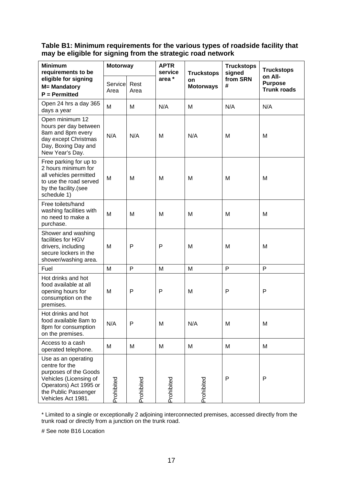**Table B1: Minimum requirements for the various types of roadside facility that may be eligible for signing from the strategic road network** 

| <b>Minimum</b><br>requirements to be                                                                                                                             | <b>Motorway</b>                 |            | <b>APTR</b><br>service | <b>Truckstops</b>      | <b>Truckstops</b><br>signed | <b>Truckstops</b>                               |
|------------------------------------------------------------------------------------------------------------------------------------------------------------------|---------------------------------|------------|------------------------|------------------------|-----------------------------|-------------------------------------------------|
| eligible for signing<br>M= Mandatory<br>$P = Permitted$                                                                                                          | Service<br>Rest<br>Area<br>Area |            | area *                 | on<br><b>Motorways</b> | from SRN<br>#               | on All-<br><b>Purpose</b><br><b>Trunk roads</b> |
| Open 24 hrs a day 365<br>days a year                                                                                                                             | M                               | M          | N/A                    | M                      | N/A                         | N/A                                             |
| Open minimum 12<br>hours per day between<br>8am and 8pm every<br>day except Christmas<br>Day, Boxing Day and<br>New Year's Day.                                  | N/A                             | N/A        | M                      | N/A                    | м                           | М                                               |
| Free parking for up to<br>2 hours minimum for<br>all vehicles permitted<br>to use the road served<br>by the facility.(see<br>schedule 1)                         | M                               | М          | м                      | M                      | М                           | М                                               |
| Free toilets/hand<br>washing facilities with<br>no need to make a<br>purchase.                                                                                   | M                               | M          | M                      | M                      | М                           | M                                               |
| Shower and washing<br>facilities for HGV<br>drivers, including<br>secure lockers in the<br>shower/washing area.                                                  | M                               | P          | P                      | M                      | М                           | М                                               |
| Fuel                                                                                                                                                             | M                               | P          | M                      | M                      | P                           | P                                               |
| Hot drinks and hot<br>food available at all<br>opening hours for<br>consumption on the<br>premises.                                                              | M                               | P          | P                      | M                      | P                           | P                                               |
| Hot drinks and hot<br>food available 8am to<br>8pm for consumption<br>on the premises.                                                                           | N/A                             | P          | M                      | N/A                    | M                           | M                                               |
| Access to a cash<br>operated telephone.                                                                                                                          | M                               | M          | M                      | M                      | M                           | M                                               |
| Use as an operating<br>centre for the<br>purposes of the Goods<br>Vehicles (Licensing of<br>Operators) Act 1995 or<br>the Public Passenger<br>Vehicles Act 1981. | Prohibited                      | Prohibited | Prohibited             | Prohibited             | P                           | P                                               |

\* Limited to a single or exceptionally 2 adjoining interconnected premises, accessed directly from the trunk road or directly from a junction on the trunk road.

# See note B16 Location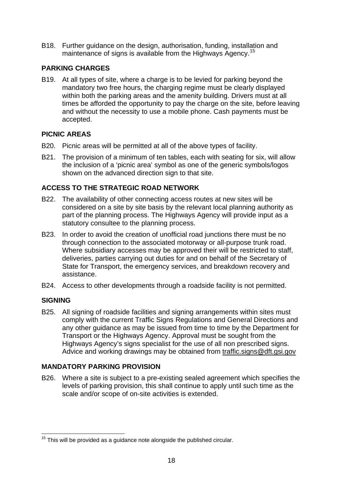B18. Further guidance on the design, authorisation, funding, installation and maintenance of signs is available from the Highways Agency.<sup>[15](#page-17-5)</sup>

# <span id="page-17-0"></span>**PARKING CHARGES**

B19. At all types of site, where a charge is to be levied for parking beyond the mandatory two free hours, the charging regime must be clearly displayed within both the parking areas and the amenity building. Drivers must at all times be afforded the opportunity to pay the charge on the site, before leaving and without the necessity to use a mobile phone. Cash payments must be accepted.

# <span id="page-17-1"></span>**PICNIC AREAS**

- B20. Picnic areas will be permitted at all of the above types of facility.
- B21. The provision of a minimum of ten tables, each with seating for six, will allow the inclusion of a 'picnic area' symbol as one of the generic symbols/logos shown on the advanced direction sign to that site.

# <span id="page-17-2"></span>**ACCESS TO THE STRATEGIC ROAD NETWORK**

- B22. The availability of other connecting access routes at new sites will be considered on a site by site basis by the relevant local planning authority as part of the planning process. The Highways Agency will provide input as a statutory consultee to the planning process.
- B23. In order to avoid the creation of unofficial road junctions there must be no through connection to the associated motorway or all-purpose trunk road. Where subsidiary accesses may be approved their will be restricted to staff. deliveries, parties carrying out duties for and on behalf of the Secretary of State for Transport, the emergency services, and breakdown recovery and assistance.
- B24. Access to other developments through a roadside facility is not permitted.

### <span id="page-17-3"></span>**SIGNING**

B25. All signing of roadside facilities and signing arrangements within sites must comply with the current Traffic Signs Regulations and General Directions and any other guidance as may be issued from time to time by the Department for Transport or the Highways Agency. Approval must be sought from the Highways Agency's signs specialist for the use of all non prescribed signs. Advice and working drawings may be obtained from [traffic.signs@dft.gsi.gov](mailto:traffic.signs@dft.gsi.gov)

# <span id="page-17-4"></span>**MANDATORY PARKING PROVISION**

B26. Where a site is subject to a pre-existing sealed agreement which specifies the levels of parking provision, this shall continue to apply until such time as the scale and/or scope of on-site activities is extended.

<span id="page-17-5"></span><sup>1</sup>  $15$  This will be provided as a guidance note alongside the published circular.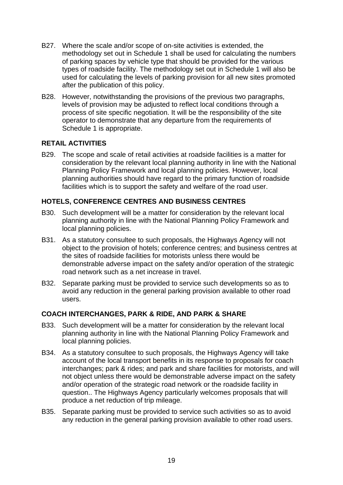- B27. Where the scale and/or scope of on-site activities is extended, the methodology set out in Schedule 1 shall be used for calculating the numbers of parking spaces by vehicle type that should be provided for the various types of roadside facility. The methodology set out in Schedule 1 will also be used for calculating the levels of parking provision for all new sites promoted after the publication of this policy.
- B28. However, notwithstanding the provisions of the previous two paragraphs, levels of provision may be adjusted to reflect local conditions through a process of site specific negotiation. It will be the responsibility of the site operator to demonstrate that any departure from the requirements of Schedule 1 is appropriate.

### <span id="page-18-0"></span>**RETAIL ACTIVITIES**

B29. The scope and scale of retail activities at roadside facilities is a matter for consideration by the relevant local planning authority in line with the National Planning Policy Framework and local planning policies. However, local planning authorities should have regard to the primary function of roadside facilities which is to support the safety and welfare of the road user.

#### <span id="page-18-1"></span>**HOTELS, CONFERENCE CENTRES AND BUSINESS CENTRES**

- B30. Such development will be a matter for consideration by the relevant local planning authority in line with the National Planning Policy Framework and local planning policies.
- B31. As a statutory consultee to such proposals, the Highways Agency will not object to the provision of hotels; conference centres; and business centres at the sites of roadside facilities for motorists unless there would be demonstrable adverse impact on the safety and/or operation of the strategic road network such as a net increase in travel.
- B32. Separate parking must be provided to service such developments so as to avoid any reduction in the general parking provision available to other road users.

### <span id="page-18-2"></span>**COACH INTERCHANGES, PARK & RIDE, AND PARK & SHARE**

- B33. Such development will be a matter for consideration by the relevant local planning authority in line with the National Planning Policy Framework and local planning policies.
- B34. As a statutory consultee to such proposals, the Highways Agency will take account of the local transport benefits in its response to proposals for coach interchanges; park & rides; and park and share facilities for motorists, and will not object unless there would be demonstrable adverse impact on the safety and/or operation of the strategic road network or the roadside facility in question.. The Highways Agency particularly welcomes proposals that will produce a net reduction of trip mileage.
- B35. Separate parking must be provided to service such activities so as to avoid any reduction in the general parking provision available to other road users.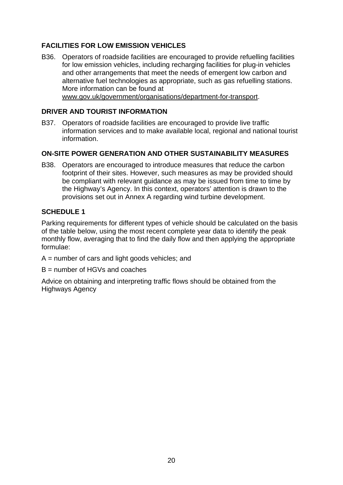# <span id="page-19-0"></span>**FACILITIES FOR LOW EMISSION VEHICLES**

B36. Operators of roadside facilities are encouraged to provide refuelling facilities for low emission vehicles, including recharging facilities for plug-in vehicles and other arrangements that meet the needs of emergent low carbon and alternative fuel technologies as appropriate, such as gas refuelling stations. More information can be found at [www.gov.uk/government/organisations/department-for-transport.](http://www.gov.uk/government/organisations/department-for-transport)

### <span id="page-19-1"></span>**DRIVER AND TOURIST INFORMATION**

B37. Operators of roadside facilities are encouraged to provide live traffic information services and to make available local, regional and national tourist information.

### <span id="page-19-2"></span>**ON-SITE POWER GENERATION AND OTHER SUSTAINABILITY MEASURES**

B38. Operators are encouraged to introduce measures that reduce the carbon footprint of their sites. However, such measures as may be provided should be compliant with relevant guidance as may be issued from time to time by the Highway's Agency. In this context, operators' attention is drawn to the provisions set out in Annex A regarding wind turbine development.

### <span id="page-19-3"></span>**SCHEDULE 1**

Parking requirements for different types of vehicle should be calculated on the basis of the table below, using the most recent complete year data to identify the peak monthly flow, averaging that to find the daily flow and then applying the appropriate formulae:

A = number of cars and light goods vehicles; and

 $B =$  number of HGVs and coaches

Advice on obtaining and interpreting traffic flows should be obtained from the Highways Agency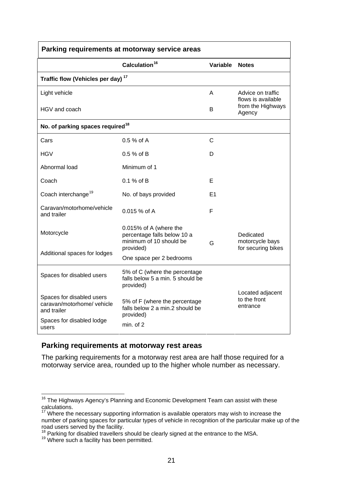| Parking requirements at motorway service areas                         |                                                                                               |                |                                                    |  |  |  |
|------------------------------------------------------------------------|-----------------------------------------------------------------------------------------------|----------------|----------------------------------------------------|--|--|--|
|                                                                        | Calculation <sup>16</sup>                                                                     | Variable       | <b>Notes</b>                                       |  |  |  |
| Traffic flow (Vehicles per day) <sup>17</sup>                          |                                                                                               |                |                                                    |  |  |  |
| Light vehicle                                                          |                                                                                               | A              | Advice on traffic<br>flows is available            |  |  |  |
| HGV and coach                                                          |                                                                                               | В              | from the Highways<br>Agency                        |  |  |  |
| No. of parking spaces required <sup>18</sup>                           |                                                                                               |                |                                                    |  |  |  |
| Cars                                                                   | 0.5 % of A                                                                                    | C              |                                                    |  |  |  |
| <b>HGV</b>                                                             | 0.5 % of B                                                                                    | D              |                                                    |  |  |  |
| Abnormal load                                                          | Minimum of 1                                                                                  |                |                                                    |  |  |  |
| Coach                                                                  | $0.1 \%$ of B                                                                                 | Е              |                                                    |  |  |  |
| Coach interchange <sup>19</sup>                                        | No. of bays provided                                                                          | E <sub>1</sub> |                                                    |  |  |  |
| Caravan/motorhome/vehicle<br>and trailer                               | $0.015%$ of A                                                                                 | F              |                                                    |  |  |  |
| Motorcycle                                                             | 0.015% of A (where the<br>percentage falls below 10 a<br>minimum of 10 should be<br>provided) | G              | Dedicated<br>motorcycle bays<br>for securing bikes |  |  |  |
| Additional spaces for lodges                                           | One space per 2 bedrooms                                                                      |                |                                                    |  |  |  |
| Spaces for disabled users                                              | 5% of C (where the percentage<br>falls below 5 a min. 5 should be<br>provided)                |                |                                                    |  |  |  |
| Spaces for disabled users<br>caravan/motorhome/ vehicle<br>and trailer | 5% of F (where the percentage<br>falls below 2 a min.2 should be<br>provided)                 |                | Located adjacent<br>to the front<br>entrance       |  |  |  |
| Spaces for disabled lodge<br>users                                     | min. of 2                                                                                     |                |                                                    |  |  |  |

# **Parking requirements at motorway rest areas**

The parking requirements for a motorway rest area are half those required for a motorway service area, rounded up to the higher whole number as necessary.

1

<span id="page-20-0"></span> $16$  The Highways Agency's Planning and Economic Development Team can assist with these calculations.

<span id="page-20-1"></span> $17$  Where the necessary supporting information is available operators may wish to increase the number of parking spaces for particular types of vehicle in recognition of the particular make up of the road users served by the facility.

<span id="page-20-3"></span><span id="page-20-2"></span><sup>18</sup> Parking for disabled travellers should be clearly signed at the entrance to the MSA.<br><sup>19</sup> Where such a facility has been permitted.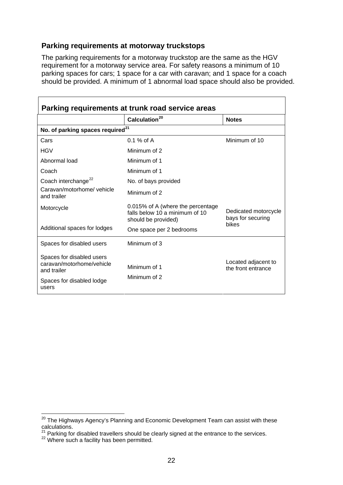# **Parking requirements at motorway truckstops**

The parking requirements for a motorway truckstop are the same as the HGV requirement for a motorway service area. For safety reasons a minimum of 10 parking spaces for cars; 1 space for a car with caravan; and 1 space for a coach should be provided. A minimum of 1 abnormal load space should also be provided.

| Parking requirements at trunk road service areas                      |                                                                                            |                                                    |  |  |
|-----------------------------------------------------------------------|--------------------------------------------------------------------------------------------|----------------------------------------------------|--|--|
|                                                                       | Calculation <sup>20</sup>                                                                  | <b>Notes</b>                                       |  |  |
| No. of parking spaces required <sup>21</sup>                          |                                                                                            |                                                    |  |  |
| Cars                                                                  | $0.1 \%$ of A                                                                              | Minimum of 10                                      |  |  |
| <b>HGV</b>                                                            | Minimum of 2                                                                               |                                                    |  |  |
| Abnormal load                                                         | Minimum of 1                                                                               |                                                    |  |  |
| Coach                                                                 | Minimum of 1                                                                               |                                                    |  |  |
| Coach interchange <sup>22</sup>                                       | No. of bays provided                                                                       |                                                    |  |  |
| Caravan/motorhome/ vehicle<br>and trailer                             | Minimum of 2                                                                               |                                                    |  |  |
| Motorcycle                                                            | 0.015% of A (where the percentage<br>falls below 10 a minimum of 10<br>should be provided) | Dedicated motorcycle<br>bays for securing<br>bikes |  |  |
| Additional spaces for lodges                                          | One space per 2 bedrooms                                                                   |                                                    |  |  |
| Spaces for disabled users                                             | Minimum of 3                                                                               |                                                    |  |  |
| Spaces for disabled users<br>caravan/motorhome/vehicle<br>and trailer | Minimum of 1<br>Minimum of 2                                                               | Located adjacent to<br>the front entrance          |  |  |
| Spaces for disabled lodge<br>users                                    |                                                                                            |                                                    |  |  |

<span id="page-21-0"></span><sup>1</sup> <sup>20</sup> The Highways Agency's Planning and Economic Development Team can assist with these calculations.

<span id="page-21-1"></span> $^{21}$  Parking for disabled travellers should be clearly signed at the entrance to the services.<br> $^{22}$  Where such a facility has been permitted.

<span id="page-21-2"></span>